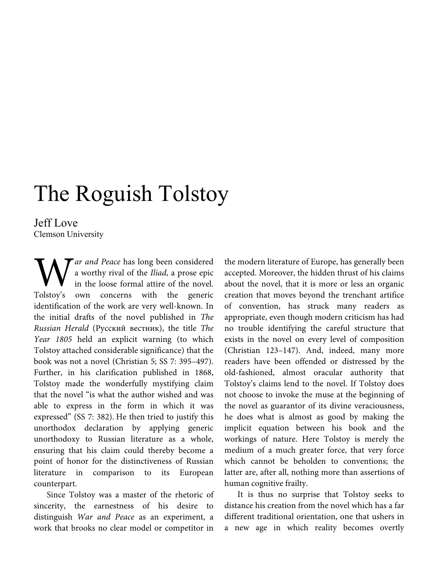# The Roguish Tolstoy

Jeff Love Clemson University

*ar and Peace* has long been considered a worthy rival of the *Iliad*, a prose epic in the loose formal attire of the novel. **T** ar and Peace has long been considered a worthy rival of the *Iliad*, a prose epic in the loose formal attire of the novel. Tolstoy's own concerns with the generic identification of the work are very well-known. In the initial drafts of the novel published in *The Russian Herald* (Русский вестник), the title *The Year 1805* held an explicit warning (to which Tolstoy attached considerable significance) that the book was not a novel (Christian 5; SS 7: 395–497). Further, in his clarification published in 1868, Tolstoy made the wonderfully mystifying claim that the novel "is what the author wished and was able to express in the form in which it was expressed" (SS 7: 382). He then tried to justify this unorthodox declaration by applying generic unorthodoxy to Russian literature as a whole, ensuring that his claim could thereby become a point of honor for the distinctiveness of Russian literature in comparison to its European counterpart.

Since Tolstoy was a master of the rhetoric of sincerity, the earnestness of his desire to distinguish *War and Peace* as an experiment, a work that brooks no clear model or competitor in

the modern literature of Europe, has generally been accepted. Moreover, the hidden thrust of his claims about the novel, that it is more or less an organic creation that moves beyond the trenchant artifice of convention, has struck many readers as appropriate, even though modern criticism has had no trouble identifying the careful structure that exists in the novel on every level of composition (Christian 123–147). And, indeed, many more readers have been offended or distressed by the old-fashioned, almost oracular authority that Tolstoy's claims lend to the novel. If Tolstoy does not choose to invoke the muse at the beginning of the novel as guarantor of its divine veraciousness, he does what is almost as good by making the implicit equation between his book and the workings of nature. Here Tolstoy is merely the medium of a much greater force, that very force which cannot be beholden to conventions; the latter are, after all, nothing more than assertions of human cognitive frailty.

It is thus no surprise that Tolstoy seeks to distance his creation from the novel which has a far different traditional orientation, one that ushers in a new age in which reality becomes overtly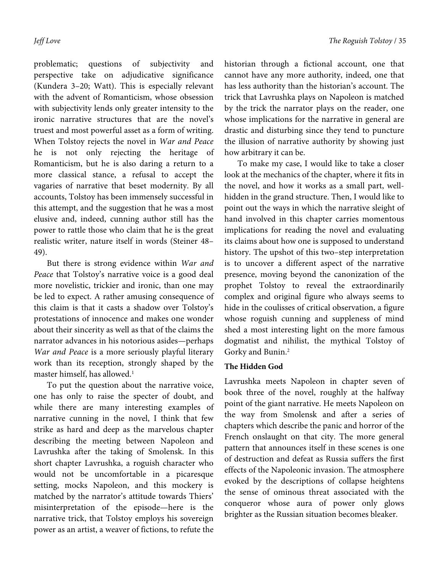problematic; questions of subjectivity and perspective take on adjudicative significance (Kundera 3–20; Watt). This is especially relevant with the advent of Romanticism, whose obsession with subjectivity lends only greater intensity to the ironic narrative structures that are the novel's truest and most powerful asset as a form of writing. When Tolstoy rejects the novel in *War and Peace* he is not only rejecting the heritage of Romanticism, but he is also daring a return to a more classical stance, a refusal to accept the vagaries of narrative that beset modernity. By all accounts, Tolstoy has been immensely successful in this attempt, and the suggestion that he was a most elusive and, indeed, cunning author still has the power to rattle those who claim that he is the great realistic writer, nature itself in words (Steiner 48– 49).

But there is strong evidence within *War and Peace* that Tolstoy's narrative voice is a good deal more novelistic, trickier and ironic, than one may be led to expect. A rather amusing consequence of this claim is that it casts a shadow over Tolstoy's protestations of innocence and makes one wonder about their sincerity as well as that of the claims the narrator advances in his notorious asides—perhaps *War and Peace* is a more seriously playful literary work than its reception, strongly shaped by the master himself, has allowed.1

To put the question about the narrative voice, one has only to raise the specter of doubt, and while there are many interesting examples of narrative cunning in the novel, I think that few strike as hard and deep as the marvelous chapter describing the meeting between Napoleon and Lavrushka after the taking of Smolensk. In this short chapter Lavrushka, a roguish character who would not be uncomfortable in a picaresque setting, mocks Napoleon, and this mockery is matched by the narrator's attitude towards Thiers' misinterpretation of the episode—here is the narrative trick, that Tolstoy employs his sovereign power as an artist, a weaver of fictions, to refute the

historian through a fictional account, one that cannot have any more authority, indeed, one that has less authority than the historian's account. The trick that Lavrushka plays on Napoleon is matched by the trick the narrator plays on the reader, one whose implications for the narrative in general are drastic and disturbing since they tend to puncture the illusion of narrative authority by showing just how arbitrary it can be.

To make my case, I would like to take a closer look at the mechanics of the chapter, where it fits in the novel, and how it works as a small part, wellhidden in the grand structure. Then, I would like to point out the ways in which the narrative sleight of hand involved in this chapter carries momentous implications for reading the novel and evaluating its claims about how one is supposed to understand history. The upshot of this two–step interpretation is to uncover a different aspect of the narrative presence, moving beyond the canonization of the prophet Tolstoy to reveal the extraordinarily complex and original figure who always seems to hide in the coulisses of critical observation, a figure whose roguish cunning and suppleness of mind shed a most interesting light on the more famous dogmatist and nihilist, the mythical Tolstoy of Gorky and Bunin.<sup>2</sup>

## **The Hidden God**

Lavrushka meets Napoleon in chapter seven of book three of the novel, roughly at the halfway point of the giant narrative. He meets Napoleon on the way from Smolensk and after a series of chapters which describe the panic and horror of the French onslaught on that city. The more general pattern that announces itself in these scenes is one of destruction and defeat as Russia suffers the first effects of the Napoleonic invasion. The atmosphere evoked by the descriptions of collapse heightens the sense of ominous threat associated with the conqueror whose aura of power only glows brighter as the Russian situation becomes bleaker.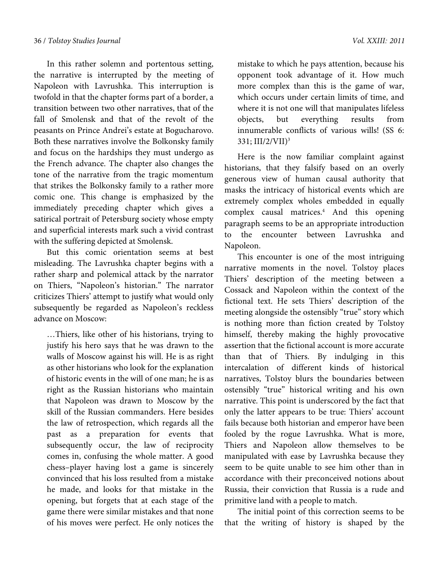In this rather solemn and portentous setting, the narrative is interrupted by the meeting of Napoleon with Lavrushka. This interruption is twofold in that the chapter forms part of a border, a transition between two other narratives, that of the fall of Smolensk and that of the revolt of the peasants on Prince Andrei's estate at Bogucharovo. Both these narratives involve the Bolkonsky family and focus on the hardships they must undergo as the French advance. The chapter also changes the tone of the narrative from the tragic momentum that strikes the Bolkonsky family to a rather more comic one. This change is emphasized by the immediately preceding chapter which gives a satirical portrait of Petersburg society whose empty and superficial interests mark such a vivid contrast with the suffering depicted at Smolensk.

But this comic orientation seems at best misleading. The Lavrushka chapter begins with a rather sharp and polemical attack by the narrator on Thiers, "Napoleon's historian." The narrator criticizes Thiers' attempt to justify what would only subsequently be regarded as Napoleon's reckless advance on Moscow:

…Thiers, like other of his historians, trying to justify his hero says that he was drawn to the walls of Moscow against his will. He is as right as other historians who look for the explanation of historic events in the will of one man; he is as right as the Russian historians who maintain that Napoleon was drawn to Moscow by the skill of the Russian commanders. Here besides the law of retrospection, which regards all the past as a preparation for events that subsequently occur, the law of reciprocity comes in, confusing the whole matter. A good chess–player having lost a game is sincerely convinced that his loss resulted from a mistake he made, and looks for that mistake in the opening, but forgets that at each stage of the game there were similar mistakes and that none of his moves were perfect. He only notices the

mistake to which he pays attention, because his opponent took advantage of it. How much more complex than this is the game of war, which occurs under certain limits of time, and where it is not one will that manipulates lifeless objects, but everything results from innumerable conflicts of various wills! (SS 6: 331; III/2/VII)3

Here is the now familiar complaint against historians, that they falsify based on an overly generous view of human causal authority that masks the intricacy of historical events which are extremely complex wholes embedded in equally complex causal matrices.4 And this opening paragraph seems to be an appropriate introduction to the encounter between Lavrushka and Napoleon.

This encounter is one of the most intriguing narrative moments in the novel. Tolstoy places Thiers' description of the meeting between a Cossack and Napoleon within the context of the fictional text. He sets Thiers' description of the meeting alongside the ostensibly "true" story which is nothing more than fiction created by Tolstoy himself, thereby making the highly provocative assertion that the fictional account is more accurate than that of Thiers. By indulging in this intercalation of different kinds of historical narratives, Tolstoy blurs the boundaries between ostensibly "true" historical writing and his own narrative. This point is underscored by the fact that only the latter appears to be true: Thiers' account fails because both historian and emperor have been fooled by the rogue Lavrushka. What is more, Thiers and Napoleon allow themselves to be manipulated with ease by Lavrushka because they seem to be quite unable to see him other than in accordance with their preconceived notions about Russia, their conviction that Russia is a rude and primitive land with a people to match.

The initial point of this correction seems to be that the writing of history is shaped by the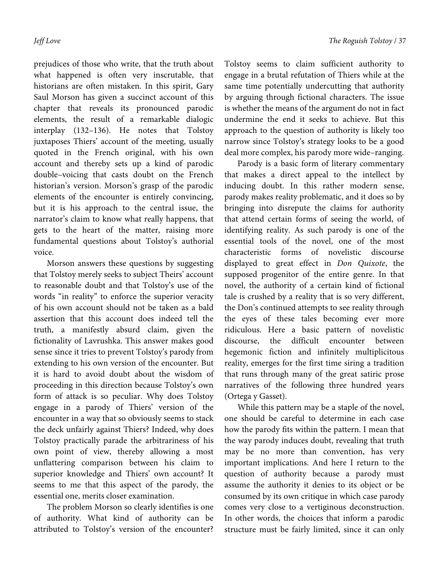prejudices of those who write, that the truth about what happened is often very inscrutable, that historians are often mistaken. In this spirit, Gary Saul Morson has given a succinct account of this chapter that reveals its pronounced parodic elements, the result of a remarkable dialogic interplay (132–136). He notes that Tolstoy juxtaposes Thiers' account of the meeting, usually quoted in the French original, with his own account and thereby sets up a kind of parodic double–voicing that casts doubt on the French historian's version. Morson's grasp of the parodic elements of the encounter is entirely convincing, but it is his approach to the central issue, the narrator's claim to know what really happens, that gets to the heart of the matter, raising more fundamental questions about Tolstoy's authorial voice.

Morson answers these questions by suggesting that Tolstoy merely seeks to subject Theirs' account to reasonable doubt and that Tolstoy's use of the words "in reality" to enforce the superior veracity of his own account should not be taken as a bald assertion that this account does indeed tell the truth, a manifestly absurd claim, given the fictionality of Lavrushka. This answer makes good sense since it tries to prevent Tolstoy's parody from extending to his own version of the encounter. But it is hard to avoid doubt about the wisdom of proceeding in this direction because Tolstoy's own form of attack is so peculiar. Why does Tolstoy engage in a parody of Thiers' version of the encounter in a way that so obviously seems to stack the deck unfairly against Thiers? Indeed, why does Tolstoy practically parade the arbitrariness of his own point of view, thereby allowing a most unflattering comparison between his claim to superior knowledge and Thiers' own account? It seems to me that this aspect of the parody, the essential one, merits closer examination.

The problem Morson so clearly identifies is one of authority. What kind of authority can be attributed to Tolstoy's version of the encounter?

Tolstoy seems to claim sufficient authority to engage in a brutal refutation of Thiers while at the same time potentially undercutting that authority by arguing through fictional characters. The issue is whether the means of the argument do not in fact undermine the end it seeks to achieve. But this approach to the question of authority is likely too narrow since Tolstoy's strategy looks to be a good deal more complex, his parody more wide–ranging.

Parody is a basic form of literary commentary that makes a direct appeal to the intellect by inducing doubt. In this rather modern sense, parody makes reality problematic, and it does so by bringing into disrepute the claims for authority that attend certain forms of seeing the world, of identifying reality. As such parody is one of the essential tools of the novel, one of the most characteristic forms of novelistic discourse displayed to great effect in *Don Quixote*, the supposed progenitor of the entire genre. In that novel, the authority of a certain kind of fictional tale is crushed by a reality that is so very different, the Don's continued attempts to see reality through the eyes of these tales becoming ever more ridiculous. Here a basic pattern of novelistic discourse, the difficult encounter between hegemonic fiction and infinitely multiplicitous reality, emerges for the first time siring a tradition that runs through many of the great satiric prose narratives of the following three hundred years (Ortega y Gasset).

While this pattern may be a staple of the novel, one should be careful to determine in each case how the parody fits within the pattern. I mean that the way parody induces doubt, revealing that truth may be no more than convention, has very important implications. And here I return to the question of authority because a parody must assume the authority it denies to its object or be consumed by its own critique in which case parody comes very close to a vertiginous deconstruction. In other words, the choices that inform a parodic structure must be fairly limited, since it can only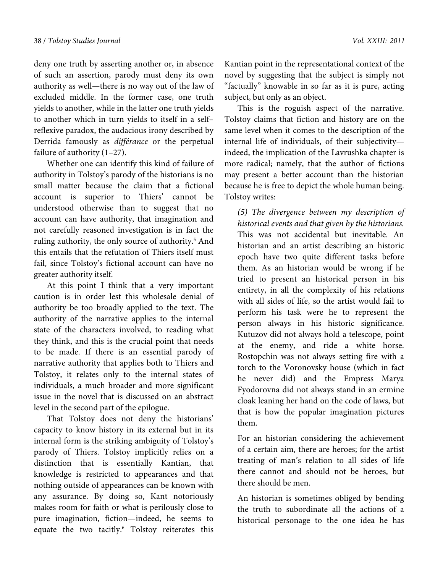deny one truth by asserting another or, in absence of such an assertion, parody must deny its own authority as well—there is no way out of the law of excluded middle. In the former case, one truth yields to another, while in the latter one truth yields to another which in turn yields to itself in a self– reflexive paradox, the audacious irony described by Derrida famously as *différance* or the perpetual failure of authority (1–27).

Whether one can identify this kind of failure of authority in Tolstoy's parody of the historians is no small matter because the claim that a fictional account is superior to Thiers' cannot be understood otherwise than to suggest that no account can have authority, that imagination and not carefully reasoned investigation is in fact the ruling authority, the only source of authority.<sup>5</sup> And this entails that the refutation of Thiers itself must fail, since Tolstoy's fictional account can have no greater authority itself.

At this point I think that a very important caution is in order lest this wholesale denial of authority be too broadly applied to the text. The authority of the narrative applies to the internal state of the characters involved, to reading what they think, and this is the crucial point that needs to be made. If there is an essential parody of narrative authority that applies both to Thiers and Tolstoy, it relates only to the internal states of individuals, a much broader and more significant issue in the novel that is discussed on an abstract level in the second part of the epilogue.

That Tolstoy does not deny the historians' capacity to know history in its external but in its internal form is the striking ambiguity of Tolstoy's parody of Thiers. Tolstoy implicitly relies on a distinction that is essentially Kantian, that knowledge is restricted to appearances and that nothing outside of appearances can be known with any assurance. By doing so, Kant notoriously makes room for faith or what is perilously close to pure imagination, fiction—indeed, he seems to equate the two tacitly.<sup>6</sup> Tolstoy reiterates this Kantian point in the representational context of the novel by suggesting that the subject is simply not "factually" knowable in so far as it is pure, acting subject, but only as an object.

This is the roguish aspect of the narrative. Tolstoy claims that fiction and history are on the same level when it comes to the description of the internal life of individuals, of their subjectivity indeed, the implication of the Lavrushka chapter is more radical; namely, that the author of fictions may present a better account than the historian because he is free to depict the whole human being. Tolstoy writes:

*(5) The divergence between my description of historical events and that given by the historians.*  This was not accidental but inevitable. An historian and an artist describing an historic epoch have two quite different tasks before them. As an historian would be wrong if he tried to present an historical person in his entirety, in all the complexity of his relations with all sides of life, so the artist would fail to perform his task were he to represent the person always in his historic significance. Kutuzov did not always hold a telescope, point at the enemy, and ride a white horse. Rostopchin was not always setting fire with a torch to the Voronovsky house (which in fact he never did) and the Empress Marya Fyodorovna did not always stand in an ermine cloak leaning her hand on the code of laws, but that is how the popular imagination pictures them.

For an historian considering the achievement of a certain aim, there are heroes; for the artist treating of man's relation to all sides of life there cannot and should not be heroes, but there should be men.

An historian is sometimes obliged by bending the truth to subordinate all the actions of a historical personage to the one idea he has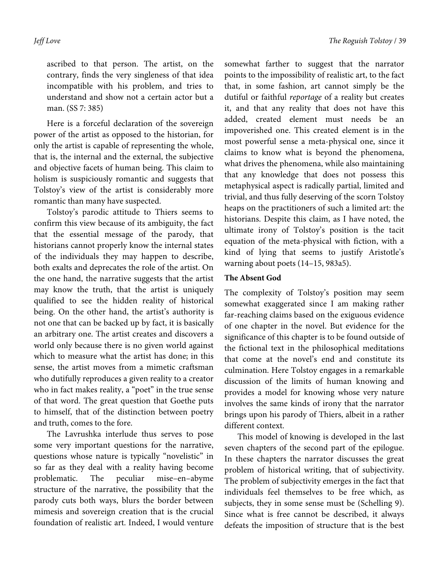ascribed to that person. The artist, on the contrary, finds the very singleness of that idea incompatible with his problem, and tries to understand and show not a certain actor but a man. (SS 7: 385)

Here is a forceful declaration of the sovereign power of the artist as opposed to the historian, for only the artist is capable of representing the whole, that is, the internal and the external, the subjective and objective facets of human being. This claim to holism is suspiciously romantic and suggests that Tolstoy's view of the artist is considerably more romantic than many have suspected.

Tolstoy's parodic attitude to Thiers seems to confirm this view because of its ambiguity, the fact that the essential message of the parody, that historians cannot properly know the internal states of the individuals they may happen to describe, both exalts and deprecates the role of the artist. On the one hand, the narrative suggests that the artist may know the truth, that the artist is uniquely qualified to see the hidden reality of historical being. On the other hand, the artist's authority is not one that can be backed up by fact, it is basically an arbitrary one. The artist creates and discovers a world only because there is no given world against which to measure what the artist has done; in this sense, the artist moves from a mimetic craftsman who dutifully reproduces a given reality to a creator who in fact makes reality, a "poet" in the true sense of that word. The great question that Goethe puts to himself, that of the distinction between poetry and truth, comes to the fore.

The Lavrushka interlude thus serves to pose some very important questions for the narrative, questions whose nature is typically "novelistic" in so far as they deal with a reality having become problematic. The peculiar mise–en–abyme structure of the narrative, the possibility that the parody cuts both ways, blurs the border between mimesis and sovereign creation that is the crucial foundation of realistic art. Indeed, I would venture somewhat farther to suggest that the narrator points to the impossibility of realistic art, to the fact that, in some fashion, art cannot simply be the dutiful or faithful *reportage* of a reality but creates it, and that any reality that does not have this added, created element must needs be an impoverished one. This created element is in the most powerful sense a meta-physical one, since it claims to know what is beyond the phenomena, what drives the phenomena, while also maintaining that any knowledge that does not possess this metaphysical aspect is radically partial, limited and trivial, and thus fully deserving of the scorn Tolstoy heaps on the practitioners of such a limited art: the historians. Despite this claim, as I have noted, the ultimate irony of Tolstoy's position is the tacit equation of the meta-physical with fiction, with a kind of lying that seems to justify Aristotle's warning about poets (14–15, 983a5).

### **The Absent God**

The complexity of Tolstoy's position may seem somewhat exaggerated since I am making rather far-reaching claims based on the exiguous evidence of one chapter in the novel. But evidence for the significance of this chapter is to be found outside of the fictional text in the philosophical meditations that come at the novel's end and constitute its culmination. Here Tolstoy engages in a remarkable discussion of the limits of human knowing and provides a model for knowing whose very nature involves the same kinds of irony that the narrator brings upon his parody of Thiers, albeit in a rather different context.

This model of knowing is developed in the last seven chapters of the second part of the epilogue. In these chapters the narrator discusses the great problem of historical writing, that of subjectivity. The problem of subjectivity emerges in the fact that individuals feel themselves to be free which, as subjects, they in some sense must be (Schelling 9). Since what is free cannot be described, it always defeats the imposition of structure that is the best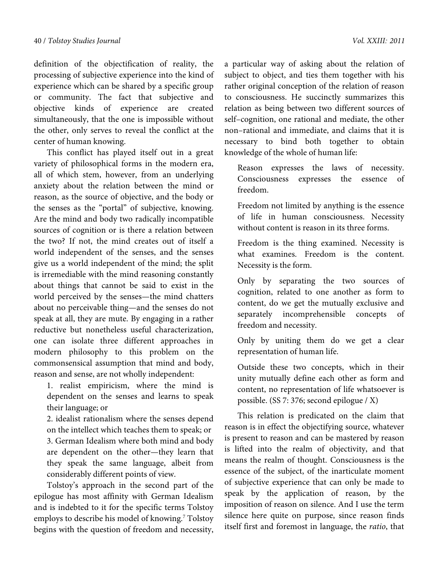definition of the objectification of reality, the processing of subjective experience into the kind of experience which can be shared by a specific group or community. The fact that subjective and objective kinds of experience are created simultaneously, that the one is impossible without the other, only serves to reveal the conflict at the center of human knowing.

This conflict has played itself out in a great variety of philosophical forms in the modern era, all of which stem, however, from an underlying anxiety about the relation between the mind or reason, as the source of objective, and the body or the senses as the "portal" of subjective, knowing. Are the mind and body two radically incompatible sources of cognition or is there a relation between the two? If not, the mind creates out of itself a world independent of the senses, and the senses give us a world independent of the mind; the split is irremediable with the mind reasoning constantly about things that cannot be said to exist in the world perceived by the senses—the mind chatters about no perceivable thing—and the senses do not speak at all, they are mute. By engaging in a rather reductive but nonetheless useful characterization, one can isolate three different approaches in modern philosophy to this problem on the commonsensical assumption that mind and body, reason and sense, are not wholly independent:

1. realist empiricism, where the mind is dependent on the senses and learns to speak their language; or

2. idealist rationalism where the senses depend on the intellect which teaches them to speak; or 3. German Idealism where both mind and body are dependent on the other—they learn that they speak the same language, albeit from considerably different points of view.

Tolstoy's approach in the second part of the epilogue has most affinity with German Idealism and is indebted to it for the specific terms Tolstoy employs to describe his model of knowing.<sup>7</sup> Tolstoy begins with the question of freedom and necessity,

a particular way of asking about the relation of subject to object, and ties them together with his rather original conception of the relation of reason to consciousness. He succinctly summarizes this relation as being between two different sources of self–cognition, one rational and mediate, the other non–rational and immediate, and claims that it is necessary to bind both together to obtain knowledge of the whole of human life:

Reason expresses the laws of necessity. Consciousness expresses the essence of freedom.

Freedom not limited by anything is the essence of life in human consciousness. Necessity without content is reason in its three forms.

Freedom is the thing examined. Necessity is what examines. Freedom is the content. Necessity is the form.

Only by separating the two sources of cognition, related to one another as form to content, do we get the mutually exclusive and separately incomprehensible concepts of freedom and necessity.

Only by uniting them do we get a clear representation of human life.

Outside these two concepts, which in their unity mutually define each other as form and content, no representation of life whatsoever is possible. (SS 7: 376; second epilogue / X)

This relation is predicated on the claim that reason is in effect the objectifying source, whatever is present to reason and can be mastered by reason is lifted into the realm of objectivity, and that means the realm of thought. Consciousness is the essence of the subject, of the inarticulate moment of subjective experience that can only be made to speak by the application of reason, by the imposition of reason on silence. And I use the term silence here quite on purpose, since reason finds itself first and foremost in language, the *ratio*, that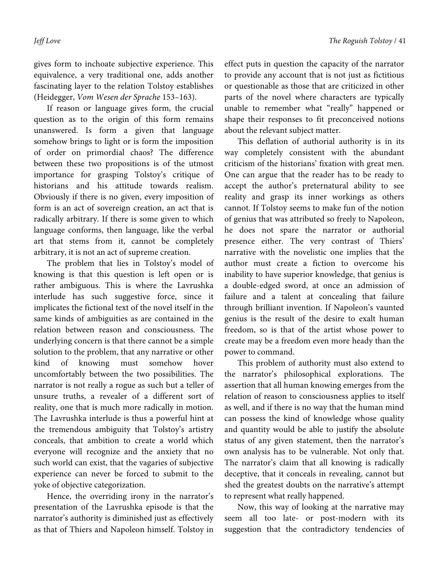gives form to inchoate subjective experience. This equivalence, a very traditional one, adds another fascinating layer to the relation Tolstoy establishes (Heidegger, *Vom Wesen der Sprache* 153–163).

If reason or language gives form, the crucial question as to the origin of this form remains unanswered. Is form a given that language somehow brings to light or is form the imposition of order on primordial chaos? The difference between these two propositions is of the utmost importance for grasping Tolstoy's critique of historians and his attitude towards realism. Obviously if there is no given, every imposition of form is an act of sovereign creation, an act that is radically arbitrary. If there is some given to which language conforms, then language, like the verbal art that stems from it, cannot be completely arbitrary, it is not an act of supreme creation.

The problem that lies in Tolstoy's model of knowing is that this question is left open or is rather ambiguous. This is where the Lavrushka interlude has such suggestive force, since it implicates the fictional text of the novel itself in the same kinds of ambiguities as are contained in the relation between reason and consciousness. The underlying concern is that there cannot be a simple solution to the problem, that any narrative or other kind of knowing must somehow hover uncomfortably between the two possibilities. The narrator is not really a rogue as such but a teller of unsure truths, a revealer of a different sort of reality, one that is much more radically in motion. The Lavrushka interlude is thus a powerful hint at the tremendous ambiguity that Tolstoy's artistry conceals, that ambition to create a world which everyone will recognize and the anxiety that no such world can exist, that the vagaries of subjective experience can never be forced to submit to the yoke of objective categorization.

Hence, the overriding irony in the narrator's presentation of the Lavrushka episode is that the narrator's authority is diminished just as effectively as that of Thiers and Napoleon himself. Tolstoy in

effect puts in question the capacity of the narrator to provide any account that is not just as fictitious or questionable as those that are criticized in other parts of the novel where characters are typically unable to remember what "really" happened or shape their responses to fit preconceived notions about the relevant subject matter.

This deflation of authorial authority is in its way completely consistent with the abundant criticism of the historians' fixation with great men. One can argue that the reader has to be ready to accept the author's preternatural ability to see reality and grasp its inner workings as others cannot. If Tolstoy seems to make fun of the notion of genius that was attributed so freely to Napoleon, he does not spare the narrator or authorial presence either. The very contrast of Thiers' narrative with the novelistic one implies that the author must create a fiction to overcome his inability to have superior knowledge, that genius is a double-edged sword, at once an admission of failure and a talent at concealing that failure through brilliant invention. If Napoleon's vaunted genius is the result of the desire to exalt human freedom, so is that of the artist whose power to create may be a freedom even more heady than the power to command.

This problem of authority must also extend to the narrator's philosophical explorations. The assertion that all human knowing emerges from the relation of reason to consciousness applies to itself as well, and if there is no way that the human mind can possess the kind of knowledge whose quality and quantity would be able to justify the absolute status of any given statement, then the narrator's own analysis has to be vulnerable. Not only that. The narrator's claim that all knowing is radically deceptive, that it conceals in revealing, cannot but shed the greatest doubts on the narrative's attempt to represent what really happened.

Now, this way of looking at the narrative may seem all too late- or post-modern with its suggestion that the contradictory tendencies of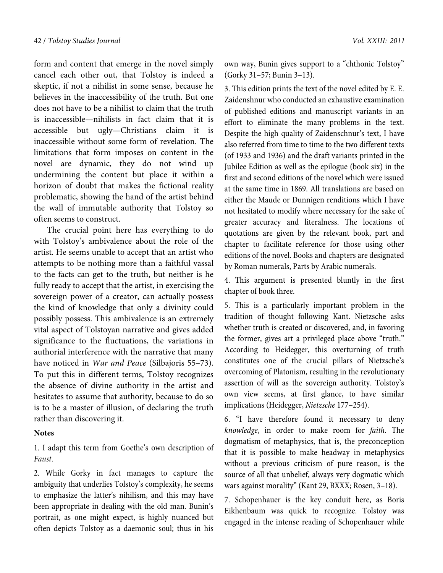form and content that emerge in the novel simply cancel each other out, that Tolstoy is indeed a skeptic, if not a nihilist in some sense, because he believes in the inaccessibility of the truth. But one does not have to be a nihilist to claim that the truth is inaccessible—nihilists in fact claim that it is accessible but ugly—Christians claim it is inaccessible without some form of revelation. The limitations that form imposes on content in the novel are dynamic, they do not wind up undermining the content but place it within a horizon of doubt that makes the fictional reality problematic, showing the hand of the artist behind the wall of immutable authority that Tolstoy so often seems to construct.

The crucial point here has everything to do with Tolstoy's ambivalence about the role of the artist. He seems unable to accept that an artist who attempts to be nothing more than a faithful vassal to the facts can get to the truth, but neither is he fully ready to accept that the artist, in exercising the sovereign power of a creator, can actually possess the kind of knowledge that only a divinity could possibly possess. This ambivalence is an extremely vital aspect of Tolstoyan narrative and gives added significance to the fluctuations, the variations in authorial interference with the narrative that many have noticed in *War and Peace* (Silbajoris 55–73). To put this in different terms, Tolstoy recognizes the absence of divine authority in the artist and hesitates to assume that authority, because to do so is to be a master of illusion, of declaring the truth rather than discovering it.

### **Notes**

1. I adapt this term from Goethe's own description of *Faust*.

2. While Gorky in fact manages to capture the ambiguity that underlies Tolstoy's complexity, he seems to emphasize the latter's nihilism, and this may have been appropriate in dealing with the old man. Bunin's portrait, as one might expect, is highly nuanced but often depicts Tolstoy as a daemonic soul; thus in his own way, Bunin gives support to a "chthonic Tolstoy" (Gorky 31–57; Bunin 3–13).

3. This edition prints the text of the novel edited by E. E. Zaidenshnur who conducted an exhaustive examination of published editions and manuscript variants in an effort to eliminate the many problems in the text. Despite the high quality of Zaidenschnur's text, I have also referred from time to time to the two different texts (of 1933 and 1936) and the draft variants printed in the Jubilee Edition as well as the epilogue (book six) in the first and second editions of the novel which were issued at the same time in 1869. All translations are based on either the Maude or Dunnigen renditions which I have not hesitated to modify where necessary for the sake of greater accuracy and literalness. The locations of quotations are given by the relevant book, part and chapter to facilitate reference for those using other editions of the novel. Books and chapters are designated by Roman numerals, Parts by Arabic numerals.

4. This argument is presented bluntly in the first chapter of book three.

5. This is a particularly important problem in the tradition of thought following Kant. Nietzsche asks whether truth is created or discovered, and, in favoring the former, gives art a privileged place above "truth." According to Heidegger, this overturning of truth constitutes one of the crucial pillars of Nietzsche's overcoming of Platonism, resulting in the revolutionary assertion of will as the sovereign authority. Tolstoy's own view seems, at first glance, to have similar implications (Heidegger, *Nietzsche* 177–254).

6. "I have therefore found it necessary to deny *knowledge*, in order to make room for *faith*. The dogmatism of metaphysics, that is, the preconception that it is possible to make headway in metaphysics without a previous criticism of pure reason, is the source of all that unbelief, always very dogmatic which wars against morality" (Kant 29, BXXX; Rosen, 3–18).

7. Schopenhauer is the key conduit here, as Boris Eikhenbaum was quick to recognize. Tolstoy was engaged in the intense reading of Schopenhauer while